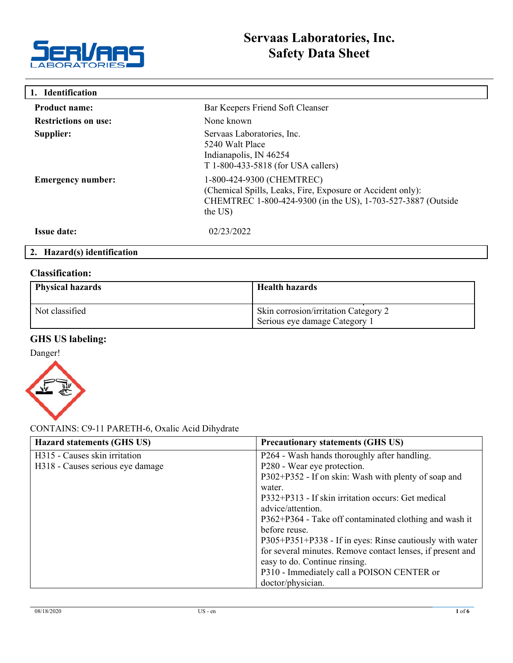

| 1. Identification           |                                                                                                                                                                    |
|-----------------------------|--------------------------------------------------------------------------------------------------------------------------------------------------------------------|
| <b>Product name:</b>        | Bar Keepers Friend Soft Cleanser                                                                                                                                   |
| <b>Restrictions on use:</b> | None known                                                                                                                                                         |
| Supplier:                   | Servaas Laboratories, Inc.<br>5240 Walt Place<br>Indianapolis, IN 46254<br>T 1-800-433-5818 (for USA callers)                                                      |
| <b>Emergency number:</b>    | 1-800-424-9300 (CHEMTREC)<br>(Chemical Spills, Leaks, Fire, Exposure or Accident only):<br>CHEMTREC 1-800-424-9300 (in the US), 1-703-527-3887 (Outside<br>the US) |
| <b>Issue date:</b>          | 02/23/2022                                                                                                                                                         |

# **2. Hazard(s) identification**

# **Classification:**

| <b>Physical hazards</b> | <b>Health hazards</b>                                                 |
|-------------------------|-----------------------------------------------------------------------|
| Not classified          | Skin corrosion/irritation Category 2<br>Serious eye damage Category 1 |

# **GHS US labeling:**



CONTAINS: C9-11 PARETH-6, Oxalic Acid Dihydrate

| <b>Hazard statements (GHS US)</b> | <b>Precautionary statements (GHS US)</b>                   |
|-----------------------------------|------------------------------------------------------------|
| H315 - Causes skin irritation     | P264 - Wash hands thoroughly after handling.               |
| H318 - Causes serious eye damage  | P280 - Wear eye protection.                                |
|                                   | P302+P352 - If on skin: Wash with plenty of soap and       |
|                                   | water.                                                     |
|                                   | P332+P313 - If skin irritation occurs: Get medical         |
|                                   | advice/attention.                                          |
|                                   | P362+P364 - Take off contaminated clothing and wash it     |
|                                   | before reuse.                                              |
|                                   | P305+P351+P338 - If in eyes: Rinse cautiously with water   |
|                                   | for several minutes. Remove contact lenses, if present and |
|                                   | easy to do. Continue rinsing.                              |
|                                   | P310 - Immediately call a POISON CENTER or                 |
|                                   | doctor/physician.                                          |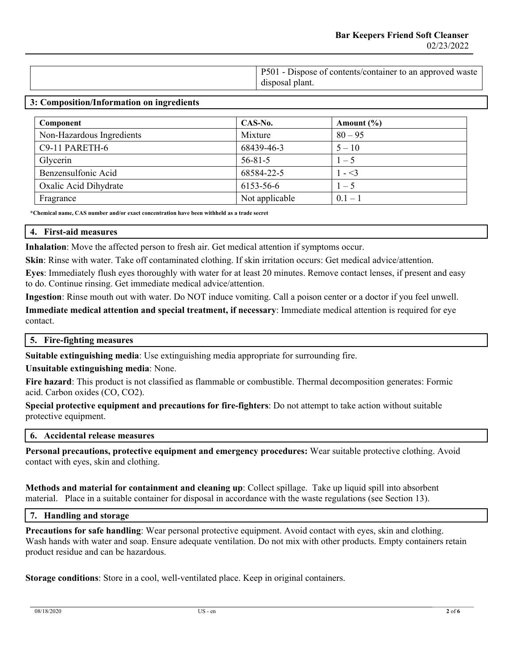|  | <b>P501</b> - Dispose of contents/container to an approved waste |
|--|------------------------------------------------------------------|
|  | disposal plant.                                                  |

#### **3: Composition/Information on ingredients**

| Component                 | CAS-No.        | Amount $(\% )$ |
|---------------------------|----------------|----------------|
| Non-Hazardous Ingredients | Mixture        | $80 - 95$      |
| C9-11 PARETH-6            | 68439-46-3     | $5 - 10$       |
| Glycerin                  | $56 - 81 - 5$  | $1 - 5$        |
| Benzensulfonic Acid       | 68584-22-5     | $1 - 3$        |
| Oxalic Acid Dihydrate     | 6153-56-6      | $1 - 5$        |
| Fragrance                 | Not applicable | $0.1 - 1$      |

**\*Chemical name, CAS number and/or exact concentration have been withheld as a trade secret** 

#### **4. First-aid measures**

**Inhalation**: Move the affected person to fresh air. Get medical attention if symptoms occur.

**Skin**: Rinse with water. Take off contaminated clothing. If skin irritation occurs: Get medical advice/attention.

**Eyes**: Immediately flush eyes thoroughly with water for at least 20 minutes. Remove contact lenses, if present and easy to do. Continue rinsing. Get immediate medical advice/attention.

**Ingestion**: Rinse mouth out with water. Do NOT induce vomiting. Call a poison center or a doctor if you feel unwell.

**Immediate medical attention and special treatment, if necessary**: Immediate medical attention is required for eye contact.

### **5. Fire-fighting measures**

**Suitable extinguishing media**: Use extinguishing media appropriate for surrounding fire.

**Unsuitable extinguishing media**: None.

**Fire hazard**: This product is not classified as flammable or combustible. Thermal decomposition generates: Formic acid. Carbon oxides (CO, CO2).

**Special protective equipment and precautions for fire-fighters**: Do not attempt to take action without suitable protective equipment.

#### **6. Accidental release measures**

**Personal precautions, protective equipment and emergency procedures:** Wear suitable protective clothing. Avoid contact with eyes, skin and clothing.

**Methods and material for containment and cleaning up**: Collect spillage. Take up liquid spill into absorbent material. Place in a suitable container for disposal in accordance with the waste regulations (see Section 13).

## **7. Handling and storage**

**Precautions for safe handling**: Wear personal protective equipment. Avoid contact with eyes, skin and clothing. Wash hands with water and soap. Ensure adequate ventilation. Do not mix with other products. Empty containers retain product residue and can be hazardous.

**Storage conditions**: Store in a cool, well-ventilated place. Keep in original containers.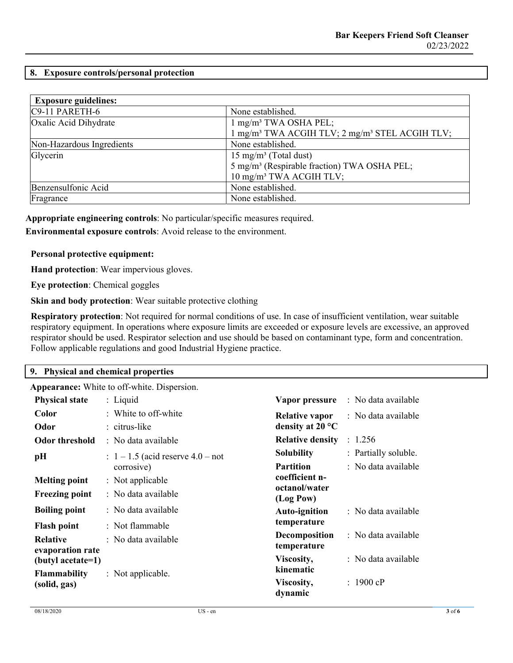## **8. Exposure controls/personal protection**

| <b>Exposure guidelines:</b> |                                                                        |
|-----------------------------|------------------------------------------------------------------------|
| C9-11 PARETH-6              | None established.                                                      |
| Oxalic Acid Dihydrate       | 1 mg/m <sup>3</sup> TWA OSHA PEL;                                      |
|                             | 1 mg/m <sup>3</sup> TWA ACGIH TLV; 2 mg/m <sup>3</sup> STEL ACGIH TLV; |
| Non-Hazardous Ingredients   | None established.                                                      |
| Glycerin                    | $15 \text{ mg/m}^3$ (Total dust)                                       |
|                             | 5 mg/m <sup>3</sup> (Respirable fraction) TWA OSHA PEL;                |
|                             | 10 mg/m <sup>3</sup> TWA ACGIH TLV;                                    |
| Benzensulfonic Acid         | None established.                                                      |
| Fragrance                   | None established.                                                      |

**Appropriate engineering controls**: No particular/specific measures required.

**Environmental exposure controls**: Avoid release to the environment.

**Personal protective equipment:** 

**Hand protection**: Wear impervious gloves.

**Eye protection**: Chemical goggles

**Skin and body protection**: Wear suitable protective clothing

**Respiratory protection**: Not required for normal conditions of use. In case of insufficient ventilation, wear suitable respiratory equipment. In operations where exposure limits are exceeded or exposure levels are excessive, an approved respirator should be used. Respirator selection and use should be based on contaminant type, form and concentration. Follow applicable regulations and good Industrial Hygiene practice.

#### **9. Physical and chemical properties**

**Appearance:** White to off-white. Dispersion.

| : Liquid             | Vapor pressure                               | : No data available                                        |
|----------------------|----------------------------------------------|------------------------------------------------------------|
| : White to off-white | <b>Relative vapor</b>                        | : No data available                                        |
| : citrus-like        | density at 20 $\mathrm{^{\circ}C}$           |                                                            |
| : No data available  | <b>Relative density</b>                      | : 1.256                                                    |
|                      | <b>Solubility</b>                            | : Partially soluble.                                       |
| corrosive)           | <b>Partition</b>                             | : No data available                                        |
| : Not applicable     |                                              |                                                            |
| : No data available  | (Log Pow)                                    |                                                            |
| : No data available  | <b>Auto-ignition</b>                         | : No data available                                        |
| : Not flammable      | temperature                                  |                                                            |
| : No data available  | Decomposition<br>temperature                 | : No data available                                        |
|                      | Viscosity,                                   | : No data available                                        |
| : Not applicable.    |                                              | : 1900 cP                                                  |
|                      | dynamic                                      |                                                            |
|                      | $\therefore$ 1 – 1.5 (acid reserve 4.0 – not | coefficient n-<br>octanol/water<br>kinematic<br>Viscosity, |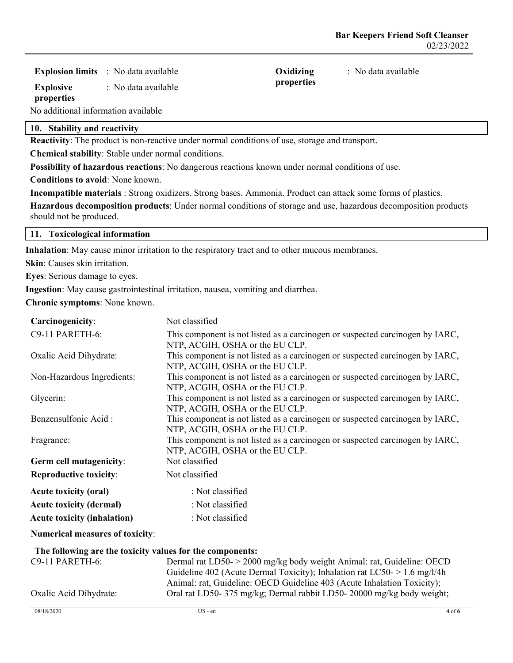: No data available

**Explosion limits** : No data available

**Explosive**  : No data available

**properties** 

No additional information available

## **10. Stability and reactivity**

**Reactivity**: The product is non-reactive under normal conditions of use, storage and transport.

**Chemical stability**: Stable under normal conditions.

**Possibility of hazardous reactions**: No dangerous reactions known under normal conditions of use.

**Conditions to avoid**: None known.

**Incompatible materials** : Strong oxidizers. Strong bases. Ammonia. Product can attack some forms of plastics.

**Hazardous decomposition products**: Under normal conditions of storage and use, hazardous decomposition products should not be produced.

**Oxidizing properties** 

**Inhalation**: May cause minor irritation to the respiratory tract and to other mucous membranes.

**Skin**: Causes skin irritation.

**Eyes**: Serious damage to eyes.

**Ingestion**: May cause gastrointestinal irritation, nausea, vomiting and diarrhea.

**Chronic symptoms**: None known.

| Carcinogenicity:                                          | Not classified                                                                                                                                      |
|-----------------------------------------------------------|-----------------------------------------------------------------------------------------------------------------------------------------------------|
| C9-11 PARETH-6:                                           | This component is not listed as a carcinogen or suspected carcinogen by IARC,                                                                       |
| Oxalic Acid Dihydrate:                                    | NTP, ACGIH, OSHA or the EU CLP.<br>This component is not listed as a carcinogen or suspected carcinogen by IARC,<br>NTP, ACGIH, OSHA or the EU CLP. |
| Non-Hazardous Ingredients:                                | This component is not listed as a carcinogen or suspected carcinogen by IARC,<br>NTP, ACGIH, OSHA or the EU CLP.                                    |
| Glycerin:                                                 | This component is not listed as a carcinogen or suspected carcinogen by IARC,<br>NTP, ACGIH, OSHA or the EU CLP.                                    |
| Benzensulfonic Acid:                                      | This component is not listed as a carcinogen or suspected carcinogen by IARC,<br>NTP, ACGIH, OSHA or the EU CLP.                                    |
| Fragrance:                                                | This component is not listed as a carcinogen or suspected carcinogen by IARC,<br>NTP, ACGIH, OSHA or the EU CLP.                                    |
| Germ cell mutagenicity:                                   | Not classified                                                                                                                                      |
| <b>Reproductive toxicity:</b>                             | Not classified                                                                                                                                      |
| <b>Acute toxicity (oral)</b>                              | : Not classified                                                                                                                                    |
| <b>Acute toxicity (dermal)</b>                            | : Not classified                                                                                                                                    |
| <b>Acute toxicity (inhalation)</b>                        | : Not classified                                                                                                                                    |
| <b>Numerical measures of toxicity:</b>                    |                                                                                                                                                     |
| The following are the toxicity values for the components: |                                                                                                                                                     |

| THE IDIOWING ALL THE WAILITY VANUES TOT THE COMPONENTS.                     |
|-----------------------------------------------------------------------------|
| Dermal rat LD50- > 2000 mg/kg body weight Animal: rat, Guideline: OECD      |
| Guideline 402 (Acute Dermal Toxicity); Inhalation rat LC50- $> 1.6$ mg/l/4h |
| Animal: rat, Guideline: OECD Guideline 403 (Acute Inhalation Toxicity);     |
| Oral rat LD50-375 mg/kg; Dermal rabbit LD50-20000 mg/kg body weight;        |
|                                                                             |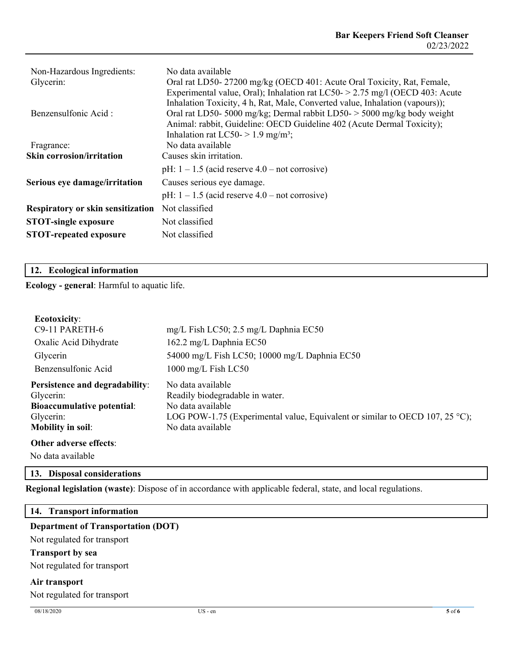| Non-Hazardous Ingredients:               | No data available                                                                                                                                              |
|------------------------------------------|----------------------------------------------------------------------------------------------------------------------------------------------------------------|
| Glycerin:                                | Oral rat LD50-27200 mg/kg (OECD 401: Acute Oral Toxicity, Rat, Female,                                                                                         |
|                                          | Experimental value, Oral); Inhalation rat LC50- $> 2.75$ mg/l (OECD 403: Acute<br>Inhalation Toxicity, 4 h, Rat, Male, Converted value, Inhalation (vapours)); |
| Benzensulfonic Acid:                     | Oral rat LD50-5000 mg/kg; Dermal rabbit LD50->5000 mg/kg body weight                                                                                           |
|                                          | Animal: rabbit, Guideline: OECD Guideline 402 (Acute Dermal Toxicity);                                                                                         |
|                                          | Inhalation rat LC50- $>$ 1.9 mg/m <sup>3</sup> ;                                                                                                               |
| Fragrance:                               | No data available                                                                                                                                              |
| <b>Skin corrosion/irritation</b>         | Causes skin irritation.                                                                                                                                        |
|                                          | pH: $1 - 1.5$ (acid reserve $4.0 -$ not corrosive)                                                                                                             |
| Serious eye damage/irritation            | Causes serious eye damage.                                                                                                                                     |
|                                          | pH: $1 - 1.5$ (acid reserve $4.0 -$ not corrosive)                                                                                                             |
| <b>Respiratory or skin sensitization</b> | Not classified                                                                                                                                                 |
| <b>STOT-single exposure</b>              | Not classified                                                                                                                                                 |
| <b>STOT-repeated exposure</b>            | Not classified                                                                                                                                                 |

## **12. Ecological information**

**Ecology - general**: Harmful to aquatic life.

| <b>Ecotoxicity:</b>               |                                                                              |
|-----------------------------------|------------------------------------------------------------------------------|
| C9-11 PARETH-6                    | mg/L Fish LC50; 2.5 mg/L Daphnia EC50                                        |
| Oxalic Acid Dihydrate             | 162.2 mg/L Daphnia EC50                                                      |
| Glycerin                          | 54000 mg/L Fish LC50; 10000 mg/L Daphnia EC50                                |
| Benzensulfonic Acid               | $1000 \text{ mg/L}$ Fish LC50                                                |
| Persistence and degradability:    | No data available                                                            |
| Glycerin:                         | Readily biodegradable in water.                                              |
| <b>Bioaccumulative potential:</b> | No data available                                                            |
| Glycerin:                         | LOG POW-1.75 (Experimental value, Equivalent or similar to OECD 107, 25 °C); |
| <b>Mobility in soil:</b>          | No data available                                                            |
| Other adverse effects:            |                                                                              |
|                                   |                                                                              |

No data available

### **13. Disposal considerations**

**Regional legislation (waste)**: Dispose of in accordance with applicable federal, state, and local regulations.

# **14. Transport information**

### **Department of Transportation (DOT)**

Not regulated for transport

# **Transport by sea**

Not regulated for transport

# **Air transport**

Not regulated for transport